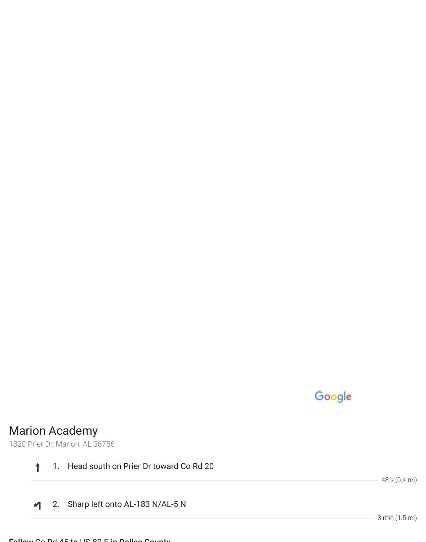## Google

## Marion Academy

1820 Prier Dr, Marion, AL 36756

 $\ddagger$ 1. Head south on Prier Dr toward Co Rd 20

2. Sharp left onto AL-183 N/AL-5 N  $\blacktriangleleft$ 

3 min (1.5 mi)

48 s (0.4 mi)